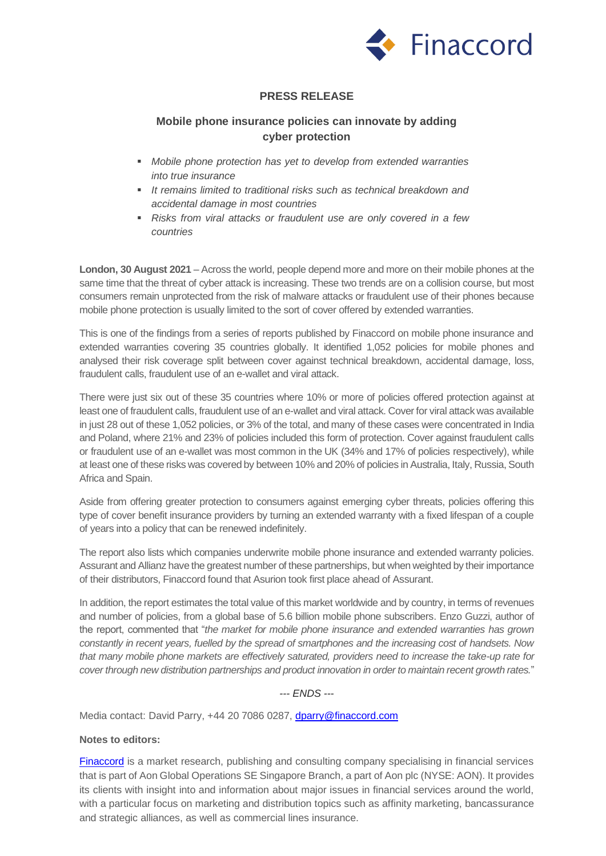

## **PRESS RELEASE**

## **Mobile phone insurance policies can innovate by adding cyber protection**

- *Mobile phone protection has yet to develop from extended warranties into true insurance*
- *It remains limited to traditional risks such as technical breakdown and accidental damage in most countries*
- *Risks from viral attacks or fraudulent use are only covered in a few countries*

**London, 30 August 2021** – Across the world, people depend more and more on their mobile phones at the same time that the threat of cyber attack is increasing. These two trends are on a collision course, but most consumers remain unprotected from the risk of malware attacks or fraudulent use of their phones because mobile phone protection is usually limited to the sort of cover offered by extended warranties.

This is one of the findings from a series of reports published by Finaccord on mobile phone insurance and extended warranties covering 35 countries globally. It identified 1,052 policies for mobile phones and analysed their risk coverage split between cover against technical breakdown, accidental damage, loss, fraudulent calls, fraudulent use of an e-wallet and viral attack.

There were just six out of these 35 countries where 10% or more of policies offered protection against at least one of fraudulent calls, fraudulent use of an e-wallet and viral attack. Cover for viral attack was available in just 28 out of these 1,052 policies, or 3% of the total, and many of these cases were concentrated in India and Poland, where 21% and 23% of policies included this form of protection. Cover against fraudulent calls or fraudulent use of an e-wallet was most common in the UK (34% and 17% of policies respectively), while at least one of these risks was covered by between 10% and 20% of policies in Australia, Italy, Russia, South Africa and Spain.

Aside from offering greater protection to consumers against emerging cyber threats, policies offering this type of cover benefit insurance providers by turning an extended warranty with a fixed lifespan of a couple of years into a policy that can be renewed indefinitely.

The report also lists which companies underwrite mobile phone insurance and extended warranty policies. Assurant and Allianz have the greatest number of these partnerships, but when weighted by their importance of their distributors, Finaccord found that Asurion took first place ahead of Assurant.

In addition, the report estimates the total value of this market worldwide and by country, in terms of revenues and number of policies, from a global base of 5.6 billion mobile phone subscribers. Enzo Guzzi, author of the report, commented that "*the market for mobile phone insurance and extended warranties has grown constantly in recent years, fuelled by the spread of smartphones and the increasing cost of handsets. Now that many mobile phone markets are effectively saturated, providers need to increase the take-up rate for cover through new distribution partnerships and product innovation in order to maintain recent growth rates.*"

*--- ENDS ---*

Media contact: David Parry, +44 20 7086 0287, [dparry@finaccord.com](mailto:dparry@finaccord.com)

## **Notes to editors:**

[Finaccord](http://www.finaccord.com/) is a market research, publishing and consulting company specialising in financial services that is part of Aon Global Operations SE Singapore Branch, a part of Aon plc (NYSE: AON). It provides its clients with insight into and information about major issues in financial services around the world, with a particular focus on marketing and distribution topics such as affinity marketing, bancassurance and strategic alliances, as well as commercial lines insurance.